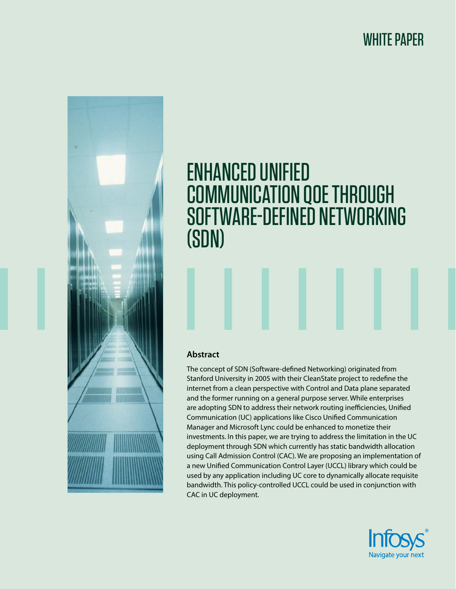WHITE PAPER



# ENHANCED UNIFIED COMMUNICATION QOE THROUGH SOFTWARE-DEFINED NETWORKING (SDN)

# **Abstract**

The concept of SDN (Software-defined Networking) originated from Stanford University in 2005 with their CleanState project to redefine the internet from a clean perspective with Control and Data plane separated and the former running on a general purpose server. While enterprises are adopting SDN to address their network routing inefficiencies, Unified Communication (UC) applications like Cisco Unified Communication Manager and Microsoft Lync could be enhanced to monetize their investments. In this paper, we are trying to address the limitation in the UC deployment through SDN which currently has static bandwidth allocation using Call Admission Control (CAC). We are proposing an implementation of a new Unified Communication Control Layer (UCCL) library which could be used by any application including UC core to dynamically allocate requisite bandwidth. This policy-controlled UCCL could be used in conjunction with CAC in UC deployment.

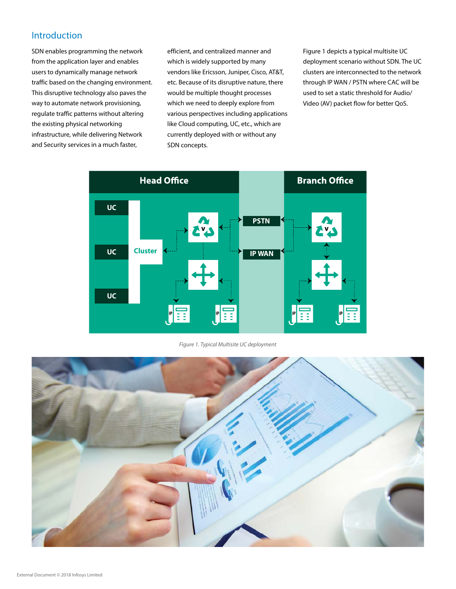# Introduction

SDN enables programming the network from the application layer and enables users to dynamically manage network traffic based on the changing environment. This disruptive technology also paves the way to automate network provisioning, regulate traffic patterns without altering the existing physical networking infrastructure, while delivering Network and Security services in a much faster,

efficient, and centralized manner and which is widely supported by many vendors like Ericsson, Juniper, Cisco, AT&T, etc. Because of its disruptive nature, there would be multiple thought processes which we need to deeply explore from various perspectives including applications like Cloud computing, UC, etc., which are currently deployed with or without any SDN concepts.

Figure 1 depicts a typical multisite UC deployment scenario without SDN. The UC clusters are interconnected to the network through IP WAN / PSTN where CAC will be used to set a static threshold for Audio/ Video (AV) packet flow for better QoS.



*Figure 1. Typical Multisite UC deployment*

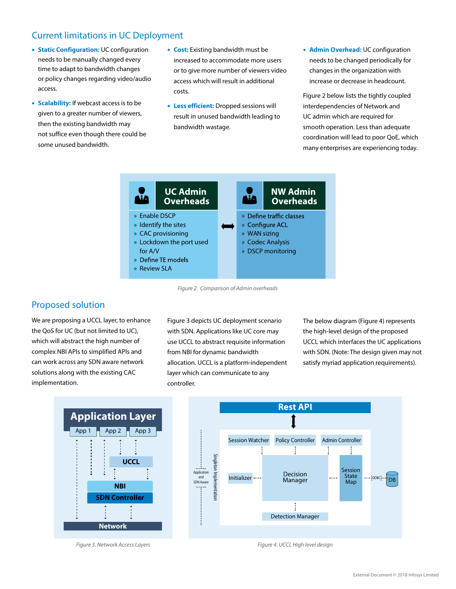# Current limitations in UC Deployment

- **Static Configuration:** UC configuration needs to be manually changed every time to adapt to bandwidth changes or policy changes regarding video/audio access.
- **Scalability:** If webcast access is to be given to a greater number of viewers, then the existing bandwidth may not suffice even though there could be some unused bandwidth.
- **Cost:** Existing bandwidth must be increased to accommodate more users or to give more number of viewers video access which will result in additional costs.
- **Less efficient:** Dropped sessions will result in unused bandwidth leading to bandwidth wastage.
- **Admin Overhead:** UC configuration needs to be changed periodically for changes in the organization with increase or decrease in headcount.

Figure 2 below lists the tightly coupled interdependencies of Network and UC admin which are required for smooth operation. Less than adequate coordination will lead to poor QoE, which many enterprises are experiencing today.



*Figure 2. Comparison of Admin overheads*

# Proposed solution

We are proposing a UCCL layer, to enhance the QoS for UC (but not limited to UC), which will abstract the high number of complex NBI APIs to simplified APIs and can work across any SDN aware network solutions along with the existing CAC implementation.

Figure 3 depicts UC deployment scenario with SDN. Applications like UC core may use UCCL to abstract requisite information from NBI for dynamic bandwidth allocation. UCCL is a platform-independent layer which can communicate to any controller.

The below diagram (Figure 4) represents the high-level design of the proposed UCCL which interfaces the UC applications with SDN. (Note: The design given may not satisfy myriad application requirements).





*Figure 3. Network Access Layers Figure 4. UCCL High level design*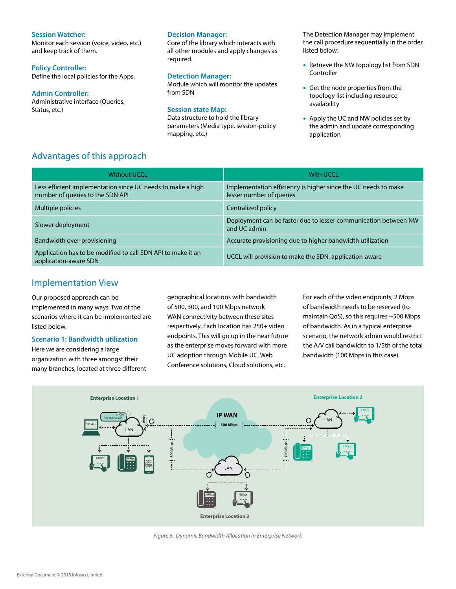## **Session Watcher:**

Monitor each session (voice, video, etc.) and keep track of them.

## **Policy Controller:**

Define the local policies for the Apps.

## **Admin Controller:**

Administrative interface (Queries, Status, etc.)

## **Decision Manager:**

Core of the library which interacts with all other modules and apply changes as required.

## **Detection Manager:**

Module which will monitor the updates from SDN

## **Session state Map:**

Data structure to hold the library parameters (Media type, session-policy mapping, etc.)

The Detection Manager may implement the call procedure sequentially in the order listed below:

- Retrieve the NW topology list from SDN **Controller**
- Get the node properties from the topology list including resource availability
- Apply the UC and NW policies set by the admin and update corresponding application

# Advantages of this approach

| <b>Without UCCL</b>                                                                             | <b>With UCCL</b>                                                                           |
|-------------------------------------------------------------------------------------------------|--------------------------------------------------------------------------------------------|
| Less efficient implementation since UC needs to make a high<br>number of queries to the SDN API | Implementation efficiency is higher since the UC needs to make<br>lesser number of queries |
| Multiple policies                                                                               | Centralized policy                                                                         |
| Slower deployment                                                                               | Deployment can be faster due to lesser communication between NW<br>and UC admin            |
| Bandwidth over-provisioning                                                                     | Accurate provisioning due to higher bandwidth utilization                                  |
| Application has to be modified to call SDN API to make it an<br>application-aware SDN           | UCCL will provision to make the SDN, application-aware                                     |

## Implementation View

Our proposed approach can be implemented in many ways. Two of the scenarios where it can be implemented are listed below.

## **Scenario 1: Bandwidth utilization**

Here we are considering a large organization with three amongst their many branches, located at three different geographical locations with bandwidth of 500, 300, and 100 Mbps network WAN connectivity between these sites respectively. Each location has 250+ video endpoints. This will go up in the near future as the enterprise moves forward with more UC adoption through Mobile UC, Web Conference solutions, Cloud solutions, etc.

For each of the video endpoints, 2 Mbps of bandwidth needs to be reserved (to maintain QoS), so this requires ~500 Mbps of bandwidth. As in a typical enterprise scenario, the network admin would restrict the A/V call bandwidth to 1/5th of the total bandwidth (100 Mbps in this case).



*Figure 5. Dynamic Bandwidth Allocation in Enterprise Network*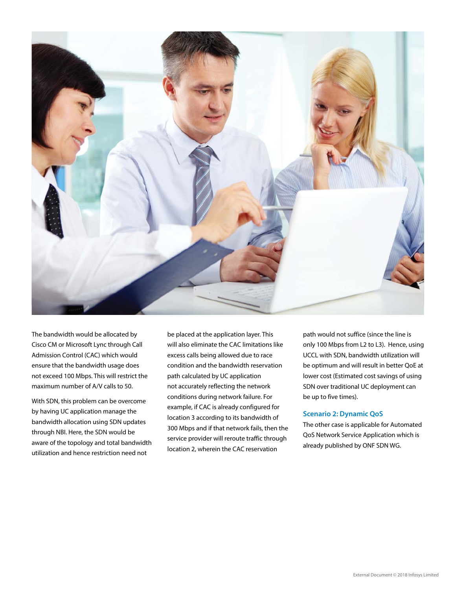

The bandwidth would be allocated by Cisco CM or Microsoft Lync through Call Admission Control (CAC) which would ensure that the bandwidth usage does not exceed 100 Mbps. This will restrict the maximum number of A/V calls to 50.

With SDN, this problem can be overcome by having UC application manage the bandwidth allocation using SDN updates through NBI. Here, the SDN would be aware of the topology and total bandwidth utilization and hence restriction need not

be placed at the application layer. This will also eliminate the CAC limitations like excess calls being allowed due to race condition and the bandwidth reservation path calculated by UC application not accurately reflecting the network conditions during network failure. For example, if CAC is already configured for location 3 according to its bandwidth of 300 Mbps and if that network fails, then the service provider will reroute traffic through location 2, wherein the CAC reservation

path would not suffice (since the line is only 100 Mbps from L2 to L3). Hence, using UCCL with SDN, bandwidth utilization will be optimum and will result in better QoE at lower cost (Estimated cost savings of using SDN over traditional UC deployment can be up to five times).

## **Scenario 2: Dynamic QoS**

The other case is applicable for Automated QoS Network Service Application which is already published by ONF SDN WG.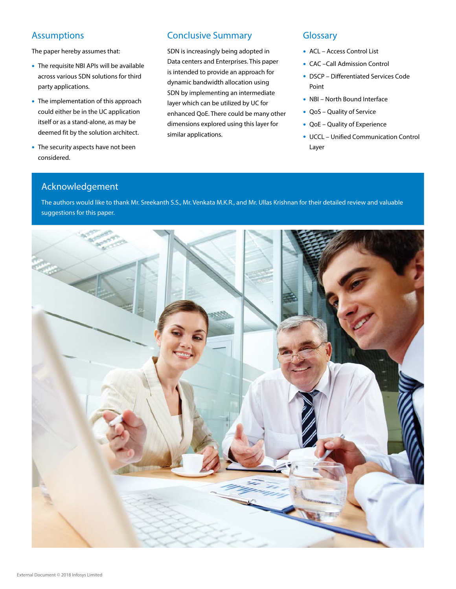# Assumptions

The paper hereby assumes that:

- The requisite NBI APIs will be available across various SDN solutions for third party applications.
- The implementation of this approach could either be in the UC application itself or as a stand-alone, as may be deemed fit by the solution architect.
- The security aspects have not been considered.

# Conclusive Summary

SDN is increasingly being adopted in Data centers and Enterprises. This paper is intended to provide an approach for dynamic bandwidth allocation using SDN by implementing an intermediate layer which can be utilized by UC for enhanced QoE. There could be many other dimensions explored using this layer for similar applications.

# **Glossary**

- ACL Access Control List
- CAC –Call Admission Control
- DSCP Differentiated Services Code Point
- NBI North Bound Interface
- QoS Quality of Service
- QoE Quality of Experience
- UCCL Unified Communication Control Layer

# Acknowledgement

The authors would like to thank Mr. Sreekanth S.S., Mr. Venkata M.K.R., and Mr. Ullas Krishnan for their detailed review and valuable suggestions for this paper.

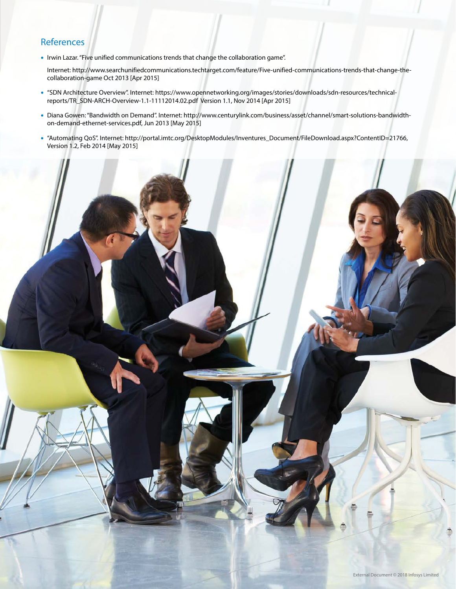# **References**

• Irwin Lazar. "Five unified communications trends that change the collaboration game".

Internet: http://www.searchunifiedcommunications.techtarget.com/feature/Five-unified-communications-trends-that-change-thecollaboration-game Oct 2013 [Apr 2015]

- "SDN Architecture Overview". Internet: https://www.opennetworking.org/images/stories/downloads/sdn-resources/technicalreports/TR\_SDN-ARCH-Overview-1.1-11112014.02.pdf Version 1.1, Nov 2014 [Apr 2015]
- Diana Gowen: "Bandwidth on Demand". Internet: http://www.centurylink.com/business/asset/channel/smart-solutions-bandwidthon-demand-ethernet-services.pdf, Jun 2013 [May 2015]
- "Automating QoS". Internet: http://portal.imtc.org/DesktopModules/Inventures\_Document/FileDownload.aspx?ContentID=21766, Version 1.2, Feb 2014 [May 2015]